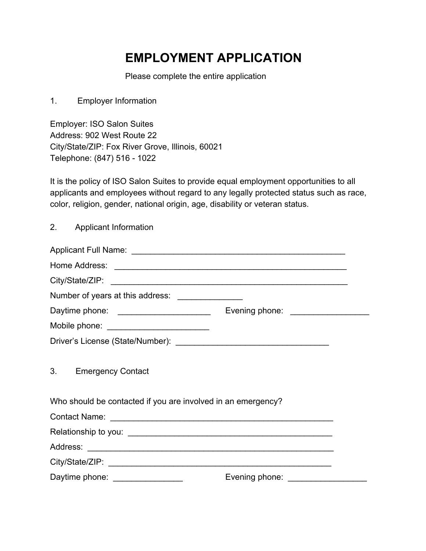## **EMPLOYMENT APPLICATION**

Please complete the entire application

1. Employer Information

Employer: ISO Salon Suites Address: 902 West Route 22 City/State/ZIP: Fox River Grove, Illinois, 60021 Telephone: (847) 516 - 1022

It is the policy of ISO Salon Suites to provide equal employment opportunities to all applicants and employees without regard to any legally protected status such as race, color, religion, gender, national origin, age, disability or veteran status.

2. Applicant Information

| Number of years at this address: ________________            |                                    |
|--------------------------------------------------------------|------------------------------------|
| Daytime phone: _______________________                       | Evening phone: ___________________ |
| Mobile phone: ____________________________                   |                                    |
|                                                              |                                    |
| 3. Emergency Contact                                         |                                    |
| Who should be contacted if you are involved in an emergency? |                                    |
|                                                              |                                    |
|                                                              |                                    |
|                                                              |                                    |
|                                                              |                                    |
| Daytime phone: _________________                             | Evening phone: ______________      |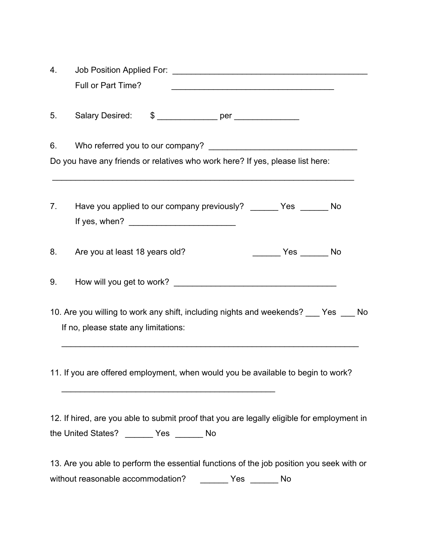| 4.                                                                                                                           |                                                                                                                                           |  |  |  |
|------------------------------------------------------------------------------------------------------------------------------|-------------------------------------------------------------------------------------------------------------------------------------------|--|--|--|
|                                                                                                                              | Full or Part Time?                                                                                                                        |  |  |  |
| 5.                                                                                                                           | Salary Desired: \$ _______________ per _______________                                                                                    |  |  |  |
| 6.                                                                                                                           |                                                                                                                                           |  |  |  |
|                                                                                                                              | Do you have any friends or relatives who work here? If yes, please list here:                                                             |  |  |  |
| 7.                                                                                                                           | Have you applied to our company previously? _______ Yes ______ No                                                                         |  |  |  |
| 8.                                                                                                                           | Are you at least 18 years old?                                                                                                            |  |  |  |
| 9.                                                                                                                           |                                                                                                                                           |  |  |  |
| 10. Are you willing to work any shift, including nights and weekends? ___ Yes ___ No<br>If no, please state any limitations: |                                                                                                                                           |  |  |  |
| 11. If you are offered employment, when would you be available to begin to work?                                             |                                                                                                                                           |  |  |  |
|                                                                                                                              | 12. If hired, are you able to submit proof that you are legally eligible for employment in<br>the United States? ________ Yes ________ No |  |  |  |
|                                                                                                                              | 13. Are you able to perform the essential functions of the job position you seek with or                                                  |  |  |  |
|                                                                                                                              | without reasonable accommodation? _________ Yes _______ No                                                                                |  |  |  |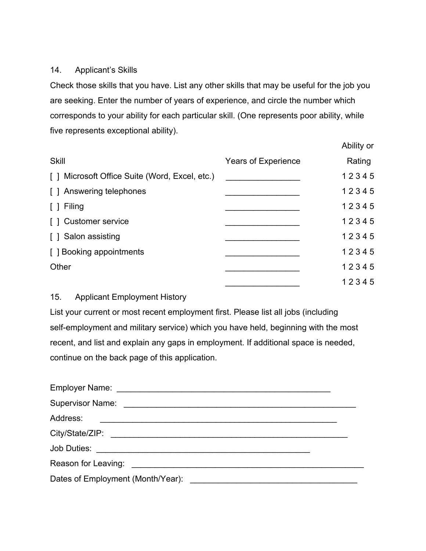#### 14. Applicant's Skills

Check those skills that you have. List any other skills that may be useful for the job you are seeking. Enter the number of years of experience, and circle the number which corresponds to your ability for each particular skill. (One represents poor ability, while five represents exceptional ability).

|                                                      |                            | Ability or |
|------------------------------------------------------|----------------------------|------------|
| <b>Skill</b>                                         | <b>Years of Experience</b> | Rating     |
| Microsoft Office Suite (Word, Excel, etc.)<br>$\Box$ |                            | 12345      |
| [] Answering telephones                              |                            | 12345      |
| Filing                                               |                            | 12345      |
| <b>Customer service</b>                              |                            | 12345      |
| [ ] Salon assisting                                  |                            | 12345      |
| [] Booking appointments                              |                            | 12345      |
| Other                                                |                            | 12345      |
|                                                      |                            | 12345      |

#### 15. Applicant Employment History

List your current or most recent employment first. Please list all jobs (including self-employment and military service) which you have held, beginning with the most recent, and list and explain any gaps in employment. If additional space is needed, continue on the back page of this application.

| <b>Supervisor Name:</b>                                                                                                                                                                                                        |  |
|--------------------------------------------------------------------------------------------------------------------------------------------------------------------------------------------------------------------------------|--|
| Address:                                                                                                                                                                                                                       |  |
|                                                                                                                                                                                                                                |  |
|                                                                                                                                                                                                                                |  |
| Reason for Leaving: Note and the set of the set of the set of the set of the set of the set of the set of the set of the set of the set of the set of the set of the set of the set of the set of the set of the set of the se |  |
| Dates of Employment (Month/Year):<br><u> 1980 - Andrea Barbara, poeta esperanto-</u>                                                                                                                                           |  |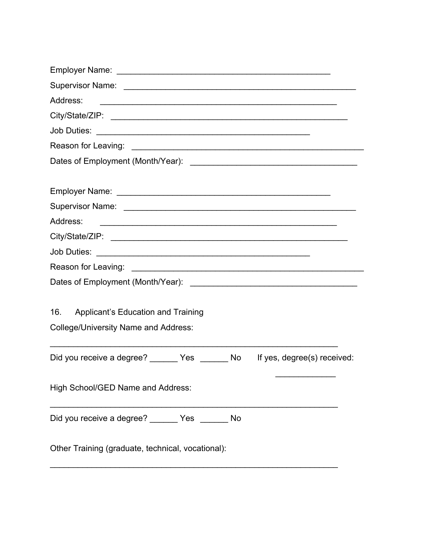| Address:<br><u> 2000 - Andrea Andrewski, amerikansk politik (d. 1982)</u>                       |
|-------------------------------------------------------------------------------------------------|
|                                                                                                 |
|                                                                                                 |
|                                                                                                 |
|                                                                                                 |
|                                                                                                 |
|                                                                                                 |
| Address:                                                                                        |
|                                                                                                 |
|                                                                                                 |
|                                                                                                 |
|                                                                                                 |
| 16.<br><b>Applicant's Education and Training</b><br><b>College/University Name and Address:</b> |
| Did you receive a degree? _______ Yes _______ No<br>If yes, degree(s) received:                 |
| High School/GED Name and Address:                                                               |
| Did you receive a degree? _______ Yes _______ No                                                |
| Other Training (graduate, technical, vocational):                                               |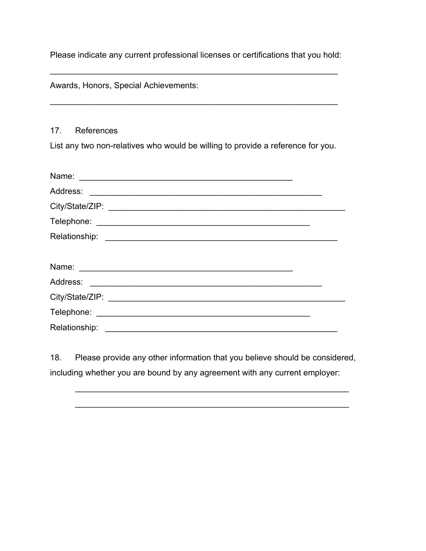Please indicate any current professional licenses or certifications that you hold:

\_\_\_\_\_\_\_\_\_\_\_\_\_\_\_\_\_\_\_\_\_\_\_\_\_\_\_\_\_\_\_\_\_\_\_\_\_\_\_\_\_\_\_\_\_\_\_\_\_\_\_\_\_\_\_\_\_\_\_\_\_\_

\_\_\_\_\_\_\_\_\_\_\_\_\_\_\_\_\_\_\_\_\_\_\_\_\_\_\_\_\_\_\_\_\_\_\_\_\_\_\_\_\_\_\_\_\_\_\_\_\_\_\_\_\_\_\_\_\_\_\_\_\_\_

Awards, Honors, Special Achievements:

#### 17. References

List any two non-relatives who would be willing to provide a reference for you.

| Name:                                                                                                                             |  |
|-----------------------------------------------------------------------------------------------------------------------------------|--|
|                                                                                                                                   |  |
|                                                                                                                                   |  |
|                                                                                                                                   |  |
|                                                                                                                                   |  |
|                                                                                                                                   |  |
|                                                                                                                                   |  |
| Address:<br><u> 1989 - Jan Barnett, mars ann an t-Amhain ann an t-Amhain ann an t-Amhain an t-Amhain an t-Amhain an t-Amhain </u> |  |
|                                                                                                                                   |  |
|                                                                                                                                   |  |
| Relationship:                                                                                                                     |  |

18. Please provide any other information that you believe should be considered, including whether you are bound by any agreement with any current employer:

\_\_\_\_\_\_\_\_\_\_\_\_\_\_\_\_\_\_\_\_\_\_\_\_\_\_\_\_\_\_\_\_\_\_\_\_\_\_\_\_\_\_\_\_\_\_\_\_\_\_\_\_\_\_\_\_\_\_\_

 $\mathcal{L}_\text{max}$  , and the contract of the contract of the contract of the contract of the contract of the contract of